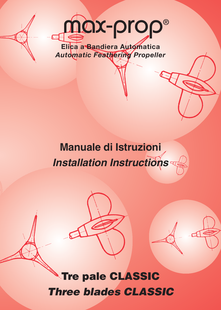

*Automatic Feathering Propeller*

## **Manuale di Istruzioni** *Installation Instructions*

**Tre pale CLASSIC** *Three blades CLASSIC*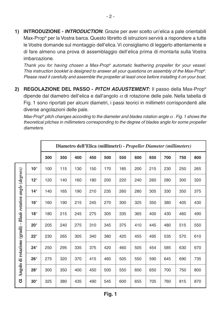**1) INTRODUZIONE -** *INTRODUCTION***:** Grazie per aver scelto un'elica a pale orientabili Max-Prop® per la Vostra barca. Questo libretto di istruzioni servirà a rispondere a tutte le Vostre domande sul montaggio dell'elica. Vi consigliamo di leggerlo attentamente e di fare almeno una prova di assemblaggio dell'elica prima di montarla sulla Vostra imbarcazione.

*Thank you for having chosen a Max-Prop® automatic feathering propeller for your vessel. This instruction booklet is designed to answer all your questions on assembly of the Max-Prop®. Please read it carefully and assemble the propeller at least once before installing it on your boat.*

**2) REGOLAZIONE DEL PASSO -** *PITCH ADJUSTEMENT***:** Il passo della Max-Prop® dipende dal diametro dell'elica e dall'angolo  $\alpha$  di rotazione delle pale. Nella tabella di Fig. 1 sono riportati per alcuni diametri, i passi teorici in millimetri corrispondenti alle diverse angolazioni delle pale.

*Max-Prop® pitch changes according to the diameter and blades rotation angle* <sup>α</sup> *. Fig. 1 shows the theoretical pitches in millimeters corresponding to the degree of blades angle for some propeller diameters.*

|                                                              |              | Diametro dell'Elica (millimetri) - Propeller Diameter (millimeters) |     |     |     |     |     |     |     |     |     |     |
|--------------------------------------------------------------|--------------|---------------------------------------------------------------------|-----|-----|-----|-----|-----|-----|-----|-----|-----|-----|
|                                                              |              | 300                                                                 | 350 | 400 | 450 | 500 | 550 | 600 | 650 | 700 | 750 | 800 |
| Angolo di rotazione (gradi) - Blade rotation angle (degrees) | $10^{\circ}$ | 100                                                                 | 115 | 130 | 150 | 170 | 185 | 200 | 215 | 230 | 250 | 265 |
|                                                              | $12^{\circ}$ | 120                                                                 | 140 | 160 | 180 | 200 | 220 | 240 | 260 | 280 | 300 | 320 |
|                                                              | $14^\circ$   | 140                                                                 | 165 | 190 | 210 | 235 | 260 | 280 | 305 | 330 | 350 | 375 |
|                                                              | $16^{\circ}$ | 160                                                                 | 190 | 215 | 245 | 270 | 300 | 325 | 350 | 380 | 405 | 430 |
|                                                              | $18^\circ$   | 180                                                                 | 215 | 245 | 275 | 305 | 335 | 365 | 400 | 430 | 460 | 490 |
|                                                              | $20^{\circ}$ | 205                                                                 | 240 | 275 | 310 | 345 | 375 | 410 | 445 | 480 | 515 | 550 |
|                                                              | $22^{\circ}$ | 230                                                                 | 265 | 305 | 340 | 380 | 420 | 455 | 495 | 535 | 570 | 610 |
|                                                              | $24^\circ$   | 250                                                                 | 295 | 335 | 375 | 420 | 460 | 505 | 454 | 585 | 630 | 670 |
|                                                              | $26^{\circ}$ | 275                                                                 | 320 | 370 | 415 | 460 | 505 | 550 | 590 | 645 | 690 | 735 |
|                                                              | $28^\circ$   | 300                                                                 | 350 | 400 | 450 | 500 | 550 | 600 | 650 | 700 | 750 | 800 |
| ರ                                                            | $30^\circ$   | 325                                                                 | 380 | 435 | 490 | 545 | 600 | 655 | 705 | 760 | 815 | 870 |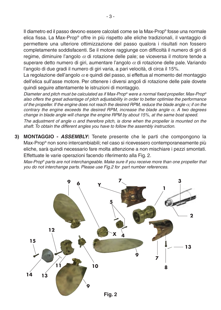Il diametro ed il passo devono essere calcolati come se la Max-Prop® fosse una normale elica fissa. La Max-Prop® offre in più rispetto alle eliche tradizionali, il vantaggio di permettere una ulteriore ottimizzazione del passo qualora i risultati non fossero completamente soddisfacenti. Se il motore raggiunge con difficoltà il numero di giri di regime, diminuire l'angolo  $\alpha$  di rotazione delle pale; se viceversa il motore tende a superare detto numero di giri, aumentare l'angolo  $\alpha$  di rotazione delle pale. Variando l'angolo di due gradi il numero di giri varia, a pari velocità, di circa il 15%.

La regolazione dell'angolo  $\alpha$  e quindi del passo, si effettua al momento del montaggio dell'elica sull'asse motore. Per ottenere i diversi angoli di rotazione delle pale dovete quindi seguire attentamente le istruzioni di montaggio.

*Diameter and pitch must be calculated as if Max-Prop® were a normal fixed propeller. Max-Prop® also offers the great advantage of pitch adjustability in order to better optimise the performance of the propeller. If the engine does not reach the desired RPM, reduce the blade angle* α*; if on the contrary the engine exceeds the desired RPM, increase the blade angle* α*. A two degrees change in blade angle will change the engine RPM by about 15%, at the same boat speed.*

*The adjustment of angle* <sup>α</sup> *and therefore pitch, is done when the propeller is mounted on the shaft. To obtain the different angles you have to follow the assembly instruction.*

**3) MONTAGGIO -** *ASSEMBLY***:** Tenete presente che le parti che compongono la Max-Prop® non sono intercambiabili; nel caso si ricevessero contemporaneamente più eliche, sarà quindi necessario fare molta attenzione a non mischiare i pezzi smontati. Effettuate le varie operazioni facendo riferimento alla Fig. 2.

*Max-Prop® parts are not interchangeable. Make sure if you receive more than one propeller that you do not interchange parts. Please use Fig.2 for part number references.*

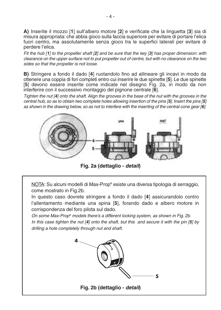**A)** Inserite il mozzo [**1**] sull'albero motore [**2**] e verificate che la linguetta [**3**] sia di misura appropriata: che abbia gioco sulla faccia superiore per evitare di portare l'elica fuori centro, ma assolutamente senza gioco tra le superfici laterali per evitare di perdere l'elica.

*Fit the hub [1] to the propeller shaft [2] and be sure that the key [3] has proper dimension: with clearance on the upper surface not to put propeller out of centre, but with no clearance on the two sides so that the propeller is not loose.*

**B)** Stringere a fondo il dado [**4**] ruotandolo fino ad allineare gli incavi in modo da ottenere una coppia di fori completi entro cui inserire le due spinette [**5**]. Le due spinette [**5**] devono essere inserite come indicate nel disegno Fig. 2a, in modo da non interferire con il successivo montaggio del pignone centrale [**6**].

*Tighten the nut [4] onto the shaft. Align the grooves in the base of the nut with the grooves in the central hub, so as to obtain two complete holes allowing insertion of the pins [5]. Insert the pins [5] as shown in the drawing below, so as not to interfere with the inserting of the central cone gear [6].*



**Fig. 2a (dettaglio -** *detail***)**

NOTA: Su alcuni modelli di Max-Prop® esiste una diversa tipologia di serraggio, come mostrato in Fig.2b.

In questo caso dovrete stringere a fondo il dado [**4**] assicurandolo contro l'allentamento mediante una spina [**5**], forando dado e albero motore in corrispondenza del foro pilota sul dado.

*On some Max-Prop® models there's a different locking system, as shown in Fig. 2b. In this case tighten the nut [4] onto the shaft, but this and secure it with the pin [5] by drilling a hole completely through nut and shaft.*

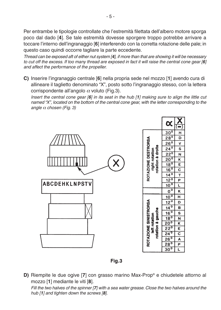Per entrambe le tipologie controllate che l'estremità filettata dell'albero motore sporga poco dal dado [**4**]. Se tale estremità dovesse sporgere troppo potrebbe arrivare a toccare l'interno dell'ingranaggio [**6**] interferendo con la corretta rotazione delle pale; in questo caso quindi occorre tagliare la parte eccedente.

*Thread can be exposed aft of either nut system [4], if more than that are showing it will be necessary to cut off the excess. If too many thread are exposed in fact it will raise the central cone gear [6] and affect the performance of the propeller.*

**C)** Inserire l'ingranaggio centrale [**6**] nella propria sede nel mozzo [**1**] avendo cura di allineare il taglietto denominato "X", posto sotto l'ingranaggio stesso, con la lettera corrispondente all'angolo  $\alpha$  voluto (Fig.3).

*Insert the central cone gear [6] in its seat in the hub [1] making sure to align the little cut named "X", located on the bottom of the central cone gear, with the letter corresponding to the angle* <sup>α</sup> *chosen (Fig. 3)*



Fig.3

**D)** Riempite le due ogive [**7**] con grasso marino Max-Prop® e chiudetele attorno al mozzo [**1**] mediante le viti [**8**].

*Fill the two halves of the spinner [7] with a sea water grease. Close the two halves around the hub [1] and tighten down the screws [8].*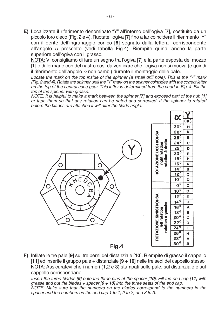**E)** Localizzate il riferimento denominato "Y" all'interno dell'ogiva [**7**], costituito da un piccolo foro cieco (Fig. 2 e 4). Ruotate l'ogiva [**7**] fino a far coincidere il riferimento "Y" con il dente dell'ingranaggio conico [**6**] segnato dalla lettera corrispondente all'angolo  $\alpha$  prescelto (vedi tabella Fig.4). Riempite quindi anche la parte superiore dell'ogiva con il grasso.

NOTA: Vi consigliamo di fare un segno tra l'ogiva [**7**] e la parte esposta del mozzo [**1**] o di fermarle con del nastro così da verificare che l'ogiva non si muova (e quindi il riferimento dell'angolo  $\alpha$  non cambi) durante il montaggio delle pale.

*Locate the mark on the top inside of the spinner (a small drill hole). This is the "Y" mark (Fig. 2 and 4). Rotate the spinner until the "Y" mark on the spinner coincides with the correct letter on the top of the central cone gear. This letter is determined from the chart in Fig. 4. Fill the top of the spinner with grease.*

*NOTE: It is helpful to make a mark between the spinner [7] and exposed part of the hub [1] or tape them so that any rotation can be noted and corrected. If the spinner is rotated before the blades are attached it will alter the blade angle.*



**F)** Infilate le tre pale [**9**] sui tre perni del distanziale [**10**]. Riempite di grasso il cappello [**11**] ed inserite il gruppo pale + distanziale [**9** + **10**] nelle tre sedi del cappello stesso. NOTA: Assicuratevi che i numeri (1,2 e 3) stampati sulle pale, sul distanziale e sul cappello corrispondano.

*Insert the three blades [9] onto the three pins of the spacer [10]. Fill the end cap [11] with grease and put the blades + spacer [9 + 10] into the three seats of the end cap. NOTE: Make sure that the numbers on the blades correspond to the numbers in the spacer and the numbers on the end cap 1 to 1, 2 to 2, and 3 to 3.*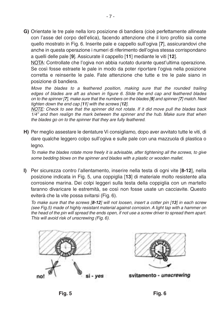**G)** Orientate le tre pale nella loro posizione di bandiera (cioè perfettamente allineate con l'asse del corpo dell'elica), facendo attenzione che il loro profilo sia come quello mostrato in Fig. 6. Inserite pale e cappello sull'ogiva [**7**], assicurandovi che anche in questa operazione i numeri di riferimento dell'ogiva stessa corrispondano a quelli delle pale [**9**]. Assicurate il cappello [**11**] mediante le viti [**12**].

NOTA: Controllate che l'ogiva non abbia ruotato durante quest'ultima operazione. Se così fosse estraete le pale in modo da poter riportare l'ogiva nella posizione corretta e reinserite le pale. Fate attenzione che tutte e tre le pale siano in posizione di bandiera.

*Move the blades to a feathered position, making sure that the rounded trailing edges of blades are aft as shown in figure 6. Slide the end cap and feathered blades on to the spinner [7], make sure that the numbers on the blades [9] and spinner [7] match. Next tighten down the end cap [11] with the screws [12].*

*NOTE: Check to see that the spinner did not rotate. If it did move pull the blades back 1/4"* and then realign the mark between the spinner and the hub. Make sure that when *the blades go on to the spinner that they are fully feathered.*

**H)** Per meglio assestare le dentature Vi consigliamo, dopo aver avvitato tutte le viti, di dare qualche leggero colpo sull'ogiva e sulle pale con una mazzuola di plastica o legno.

*To make the blades rotate more freely it is advisable, after tightening all the screws, to give some bedding blows on the spinner and blades with a plastic or wooden mallet.*

**I)** Per sicurezza contro l'allentamento, inserire nella testa di ogni vite [**8-12**], nella posizione indicata in Fig. 5, una coppiglia [**13**] di materiale molto resistente alla corrosione marina. Dei colpi leggeri sulla testa della coppiglia con un martello faranno divaricare le estremità, se così non fosse usate un cacciavite. Questo eviterà che la vite possa svitarsi (Fig. 6).

*To make sure that the screws [8-12] will not loosen, insert a cotter pin [13] in each screw (see Fig.5) made of highly resistant material against corrosion. A light tap with a hammer on the head of the pin will spread the ends open, if not use a screw driver to spread them apart. This will avoid risk of unscrewing (Fig. 6).*





svitamento - unscrewing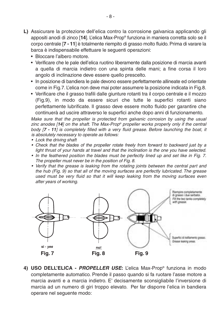- **L)** Assicurare la protezione dell'elica contro la corrosione galvanica applicando gli appositi anodi di zinco [**14**]. L'elica Max-Prop® funziona in maniera corretta solo se il corpo centrale [**7 - 11**] è totalmente riempito di grasso molto fluido. Prima di varare la barca è indispensabile effettuare le seguenti operazioni:
	- Bloccare l'albero motore.
	- Verificare che le pale dell'elica ruotino liberamente dalla posizione di marcia avanti a quella di marcia indietro con una spinta delle mani; a fine corsa il loro angolo di inclinazione deve essere quello prescelto.
	- In posizione di bandiera le pale devono essere perfettamente allineate ed orientate come in Fig.7. L'elica non deve mai poter assumere la posizione indicata in Fig.8.
	- Verificare che il grasso trafili dalle giunture rotanti tra il corpo centrale e il mozzo (Fig.9), in modo da essere sicuri che tutte le superfici rotanti siano perfettamente lubrificate. Il grasso deve essere molto fluido per garantire che continuerà ad uscire attraverso le superfici anche dopo anni di funzionamento.

*Make sure that the propeller is protected from galvanic corrosion by using the usual zinc anodes [14] on the shaft. The Max-Prop® propeller works properly only if the central body [7 - 11] is completely filled with a very fluid grease. Before launching the boat, it is absolutely necessary to operate as follows:*

- *Lock the driving shaft*
- *Check that the blades of the propeller rotate freely from forward to backward just by a light thrust of your hands at travel and that the inclination is the one you have selected.*
- *In the feathered position the blades must be perfectly lined up and set like in Fig. 7. The propeller must never be in the position of Fig. 8.*
- Verify that the grease is leaking from the rotating joints between the central part and *the hub (Fig. 9) so that all of the moving surfaces are perfectly lubricated. The grease used must be very fluid so that it will keep leaking from the moving surfaces even after years of working.*



**4) USO DELL'ELICA -** *PROPELLER USE***:** L'elica Max-Prop® funziona in modo completamente automatico. Prende il passo quando si fa ruotare l'asse motore a marcia avanti e a marcia indietro. E' decisamente sconsigliabile l'inversione di marcia ad un numero di giri troppo elevato. Per far disporre l'elica in bandiera operare nel seguente modo: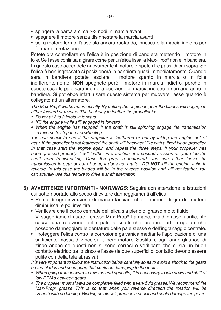- spingere la barca a circa 2-3 nodi in marcia avanti
- spegnere il motore senza disinnestare la marcia avanti
- se, a motore fermo, l'asse sta ancora ruotando, innescate la marcia indietro per fermare la rotazione.

Potete ora controllare se l'elica è in posizione di bandiera mettendo il motore in folle. Se l'asse continua a girare come per un'elica fissa la Max-Prop® non è in bandiera. In questo caso accendete nuovamente il motore e ripete i tre passi di cui sopra. Se l'elica è ben ingrassata si posizionerà in bandiera quasi immediatamente. Quando sarà in bandiera potete lasciare il motore spento in marcia o in folle indifferentemente. **NON** spegnete però il motore in marcia indietro, perché in questo caso le pale saranno nella posizione di marcia indietro e non andranno in bandiera. Si potrebbe infatti usare questo sistema per muovere l'asse quando è collegato ad un alternatore.

*The Max-Prop® works automatically. By putting the engine in gear the blades will engage in either forward or reverse. The best way to feather the propeller is:*

- *Power at 2 to 3 knots in forward.*
- *Kill the engine while still engaged in forward.*
- *When the engine has stopped, if the shaft is still spinning engage the transmission in reverse to stop the freewheeling.*

You can check to see if the propeller is feathered or not by taking the engine out of *gear. If the propeller is not feathered the shaft will freewheel like with a fixed blade propeller. In that case start the engine again and repeat the three steps. If your propeller has been greased properly it will feather in a fraction of a second as soon as you stop the shaft from freewheeling. Once the prop is feathered, you can either leave the transmission in gear or out of gear, it does not matter. DO NOT kill the engine while in reverse. In this case the blades will be in the reverse position and will not feather. You can actually use this feature to drive a shaft alternator.*

- **5) AVVERTENZE IMPORTANTI** *WARNINGS***:** Seguire con attenzione le istruzioni qui sotto riportate allo scopo di evitare danneggiamenti all'elica:
	- Prima di ogni inversione di marcia lasciare che il numero di giri del motore diminuisca, e poi invertire.
	- Verificare che il corpo centrale dell'elica sia pieno di grasso molto fluido. Vi suggeriamo di usare il grasso Max-Prop®. La mancanza di grasso lubrificante causa una rotazione delle pale a scatti che produce urti irregolari che possono danneggiare le dentature delle pale stesse e dell'ingranaggio centrale.
	- Proteggere l'elica contro la corrosione galvanica mediante l'applicazione di una sufficiente massa di zinco sull'albero motore. Sostituire ogni anno gli anodi di zinco anche se questi non si sono corrosi e verificare che ci sia un buon contatto elettrico tra lo zinco e l'asse (le due superfici di contatto devono essere pulite con della tela abrasiva).

*It is very important to follow the instruction below carefully so as to avoid a shock to the gears on the blades and cone gear, that could be damaging to the teeth.*

- When going from forward to reverse and opposite, it is necessary to idle down and shift at *low RPM's between gears.*
- *The propeller must always be completely filled with a very fluid grease.We recommend the Max-Prop® grease. This is so that when you reverse direction the rotation will be smooth with no binding. Binding points will produce a shock and could damage the gears.*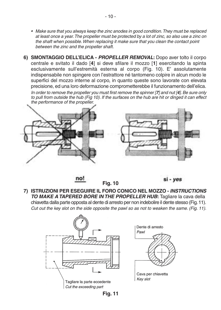- *Make sure that you always keep the zinc anodes in good condition.They must be replaced at least once a year.The propeller must be protected by a lot of zinc, so also use a zinc on the shaft when possible. When replacing it make sure that you clean the contact point between the zinc and the propeller shaft.*
- **6) SMONTAGGIO DELL'ELICA** *PROPELLER REMOVAL***:** Dopo aver tolto il corpo centrale e svitato il dado [**4**] si deve sfilare il mozzo [**1**] esercitando la spinta esclusivamente sull'estremità esterna al corpo (Fig. 10). E' assolutamente indispensabile non spingere con l'estrattore né tantomeno colpire in alcun modo le superfici del mozzo interne al corpo, in quanto queste sono lavorate con elevata precisione, ed una loro deformazione comprometterebbe il funzionamento dell'elica.

*In order to remove the propeller you must first remove the spinner [7] and nut [4]. Be sure only to pull from outside the hub (Fig 10). If the surfaces on the hub are hit or dinged it can effect the performance of the propeller.*



no!

si - ves

**7) ISTRUZIONI PER ESEGUIRE IL FORO CONICO NEL MOZZO -** *INSTRUCTIONS TO MAKE A TAPERED BORE IN THE PROPELLER HUB***:** Tagliare la cava della chiavetta dalla parte opposta al dente di arresto per non indebolire il dente stesso (Fig.11). *Cut out the key slot on the side opposite the pawl so as not to weaken the same. (Fig. 11).*

**Fig. 10**





Cava per chiavetta Kev slot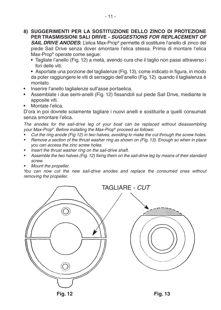- **8) SUGGERIMENTI PER LA SOSTITUZIONE DELLO ZINCO DI PROTEZIONE PER TRASMISSIONI SALI DRIVE -** *SUGGESTIONS FOR REPLACEMENT OF*  **SAIL DRIVE ANODES:** L'elica Max-Prop® permette di sostituire l'anello di zinco del piede Sail Drive senza dover smontare l'elica stessa. Prima di montare l'elica Max-Prop® operate come segue:
	- **•** Tagliate l'anello (Fig. 12) a metà, avendo cura che il taglio non passi attraverso i fori delle viti.

**•** Asportate una porzione del taglialenze (Fig. 13), come indicato in figura, in modo da poter raggiungere le viti di serraggio dell'anello (Fig. 12) quando il taglialenza è montato.

- **•** Inserire l'anello taglialenze sull'asse portaelica.
- **•** Assemblate i due semi-anelli (Fig. 12) fissandoli sul piede Sail Drive, mediante le apposite viti.
- **•** Montate l'elica.

D'ora in poi dovrete solamente tagliare i nuovi anelli e sostituirle a quelli consumati senza smontare l'elica.

*The anodes for the sail-drive leg of your boat can be replaced without disassembling your Max-Prop®. Before installing the Max-Prop® proceed as follows:*

- *• Cut the ring anode (Fig 12) in two halves, avoiding to make the cut through the screw holes.*
- *• Remove a section of the thrust washer ring as shown on (Fig. 13). Enough so when in place you can access the zinc screw holes.*
- *• Insert the thrust washer ring on the sail-drive shaft.*
- *• Assemble the two halves (Fig. 12) fixing them on the sail-drive leg by means of their standard screw.*
- *• Mount the propeller.*

*You can now cut the new sail-drive anodes and replace the consumed ones without removing the propeller.*



**Fig. 12 Fig. 13**